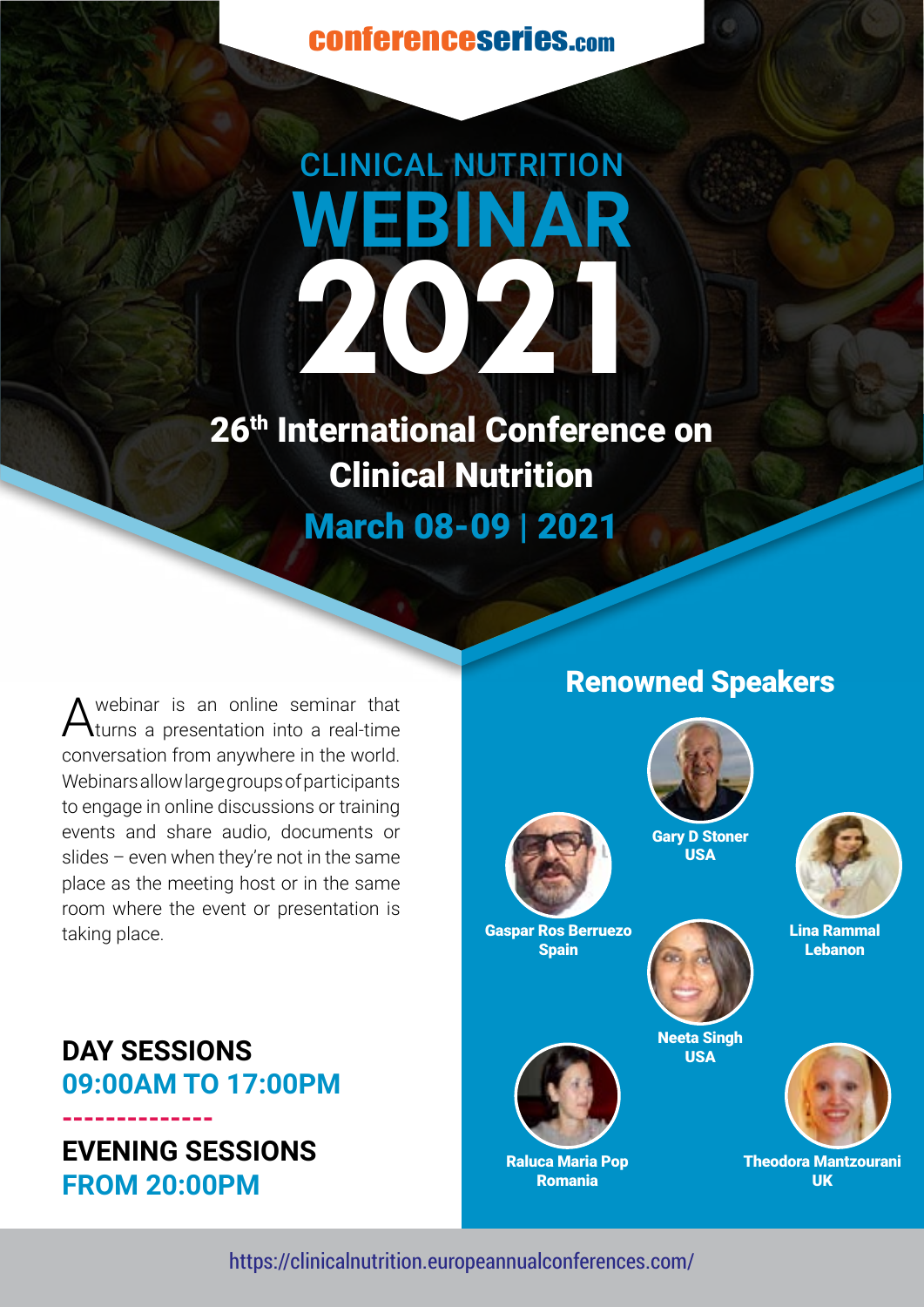conferenceseries.com



26<sup>th</sup> International Conference on Clinical Nutrition March 08-09 | 2021

webinar is an online seminar that turns a presentation into a real-time conversation from anywhere in the world. Webinars allow large groups of participants to engage in online discussions or training events and share audio, documents or slides – even when they're not in the same place as the meeting host or in the same room where the event or presentation is taking place.

## Renowned Speakers





Lina Rammal Lebanon



**EVENING SESSIONS FROM 20:00PM**

**--------------**



Gaspar Ros Berruezo **Spain** 



Neeta Singh **USA** 



Raluca Maria Pop Romania





Theodora Mantzourani UK

https://clinicalnutrition.europeannualconferences.com/